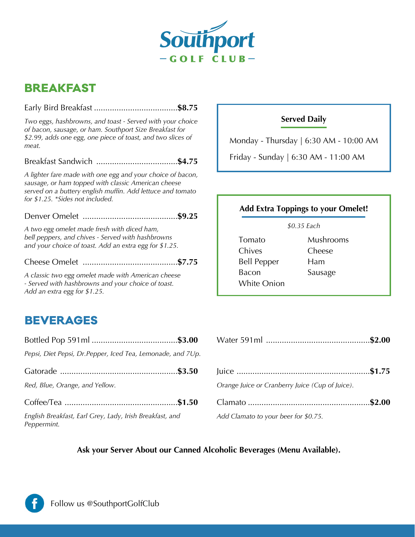

# **BREAKFAST**

*Two eggs, hashbrowns, and toast - Served with your choice of bacon, sausage, or ham. Southport Size Breakfast for \$2.99, adds one egg, one piece of toast, and two slices of meat.*

### Breakfast Sandwich ....................................**\$4.75**

*A lighter fare made with one egg and your choice of bacon, sausage, or ham topped with classic American cheese served on a buttery english muffin. Add lettuce and tomato for \$1.25. \*Sides not included.*

## Denver Omelet ..........................................**\$9.25**

*A two egg omelet made fresh with diced ham, bell peppers, and chives - Served with hashbrowns and your choice of toast. Add an extra egg for \$1.25.*

Cheese Omelet ..........................................**\$7.75**

*A classic two egg omelet made with American cheese - Served with hashbrowns and your choice of toast. Add an extra egg for \$1.25.*

# **BEVERAGES**

| Pepsi, Diet Pepsi, Dr. Pepper, Iced Tea, Lemonade, and 7Up.             |  |
|-------------------------------------------------------------------------|--|
|                                                                         |  |
| Red, Blue, Orange, and Yellow.                                          |  |
|                                                                         |  |
| English Breakfast, Earl Grey, Lady, Irish Breakfast, and<br>Peppermint. |  |

# **Served Daily**

Monday - Thursday | 6:30 AM - 10:00 AM

Friday - Sunday | 6:30 AM - 11:00 AM

## **Add Extra Toppings to your Omelet!**

*\$0.35 Each*

- Tomato Chives Bell Pepper Bacon White Onion
- Mushrooms Cheese Ham Sausage

|--|--|--|

|                                              | $ u $ = $\frac{1}{2}$ = $\frac{1}{2}$ = $\frac{1}{2}$ = $\frac{1}{2}$ = $\frac{1}{2}$ = $\frac{1}{2}$ = $\frac{1}{2}$ = $\frac{1}{2}$ = $\frac{1}{2}$ = $\frac{1}{2}$ = $\frac{1}{2}$ = $\frac{1}{2}$ = $\frac{1}{2}$ = $\frac{1}{2}$ = $\frac{1}{2}$ = $\frac{1}{2}$ = $\frac{1}{2}$ = $\frac{1}{2}$ |  |
|----------------------------------------------|-------------------------------------------------------------------------------------------------------------------------------------------------------------------------------------------------------------------------------------------------------------------------------------------------------|--|
| )range, and Yellow.                          | Orange Juice or Cranberry Juice (Cup of Juice).                                                                                                                                                                                                                                                       |  |
|                                              |                                                                                                                                                                                                                                                                                                       |  |
| kfast, Earl Grey, Lady, Irish Breakfast, and | Add Clamato to your beer for \$0.75.                                                                                                                                                                                                                                                                  |  |

## **Ask your Server About our Canned Alcoholic Beverages (Menu Available).**

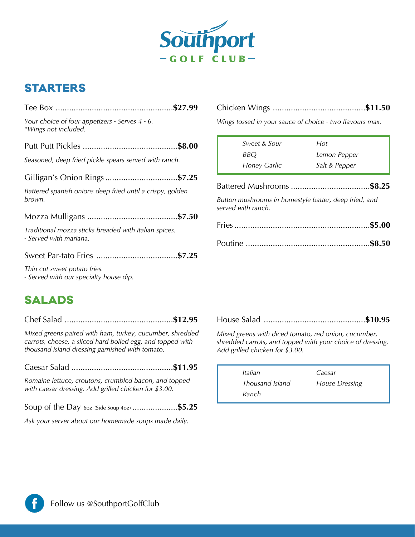

# **STARTERS**

| Your choice of four appetizers - Serves 4 - 6.<br>*Wings not included.          |  |
|---------------------------------------------------------------------------------|--|
|                                                                                 |  |
| Seasoned, deep fried pickle spears served with ranch.                           |  |
|                                                                                 |  |
| Battered spanish onions deep fried until a crispy, golden<br>brown.             |  |
|                                                                                 |  |
| Traditional mozza sticks breaded with italian spices.<br>- Served with mariana. |  |
|                                                                                 |  |
| Thin cut sweet potato fries.<br>- Served with our specialty house dip.          |  |
|                                                                                 |  |

# **SALADS**

Chef Salad ................................................**\$12.95**

*Mixed greens paired with ham, turkey, cucumber, shredded carrots, cheese, a sliced hard boiled egg, and topped with thousand island dressing garnished with tomato.*

Caesar Salad .............................................**\$11.95**

*Romaine lettuce, croutons, crumbled bacon, and topped with caesar dressing. Add grilled chicken for \$3.00.*

Soup of the Day 6oz (Side Soup 4oz) ....................**\$5.25**

*Ask your server about our homemade soups made daily.*

|--|--|--|--|--|

*Wings tossed in your sauce of choice - two flavours max.*

| Sweet & Sour       | Hot                                                   |
|--------------------|-------------------------------------------------------|
| BBO                | Lemon Pepper                                          |
| Honey Garlic       | Salt & Pepper                                         |
|                    |                                                       |
| served with ranch. | Button mushrooms in homestyle batter, deep fried, and |
|                    |                                                       |
|                    |                                                       |

### House Salad .............................................**\$10.95**

*Mixed greens with diced tomato, red onion, cucumber, shredded carrots, and topped with your choice of dressing. Add grilled chicken for \$3.00.*

| Italian         | Caesar                |
|-----------------|-----------------------|
| Thousand Island | <b>House Dressing</b> |
| Ranch           |                       |

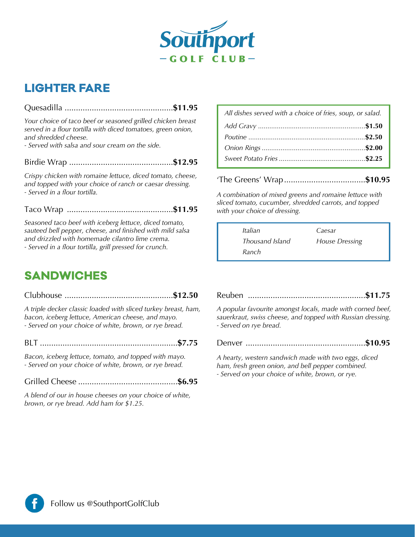

# **LIGHTER FARE**

## Quesadilla ................................................**\$11.95**

*Your choice of taco beef or seasoned grilled chicken breast served in a flour tortilla with diced tomatoes, green onion, and shredded cheese.*

*- Served with salsa and sour cream on the side.*

Birdie Wrap ..............................................**\$12.95**

*Crispy chicken with romaine lettuce, diced tomato, cheese, and topped with your choice of ranch or caesar dressing. - Served in a flour tortilla.*

#### Taco Wrap ...............................................**\$11.95**

*Seasoned taco beef with iceberg lettuce, diced tomato, sauteed bell pepper, cheese, and finished with mild salsa and drizzled with homemade cilantro lime crema. - Served in a flour tortilla, grill pressed for crunch.*

# *All dishes served with a choice of fries, soup, or salad. .........................................................***\$1.50** *Add Gravy Poutine ..............................................................***\$2.50** *Onion Rings .......................................................***\$2.00** *Sweet Potato Fries ..............................................***\$2.25**

'The Greens' Wrap....................................**\$10.95**

*A combination of mixed greens and romaine lettuce with sliced tomato, cucumber, shredded carrots, and topped with your choice of dressing.*

| Italian         | Caesar                |
|-----------------|-----------------------|
| Thousand Island | <b>House Dressing</b> |
| Ranch           |                       |

# **SANDWICHES**

### Clubhouse ................................................**\$12.50**

*A triple decker classic loaded with sliced turkey breast, ham, bacon, iceberg lettuce, American cheese, and mayo. - Served on your choice of white, brown, or rye bread.*

BLT .............................................................**\$7.75**

*Bacon, iceberg lettuce, tomato, and topped with mayo. - Served on your choice of white, brown, or rye bread.* 

### Grilled Cheese ............................................**\$6.95**

*A blend of our in house cheeses on your choice of white, brown, or rye bread. Add ham for \$1.25.*

Reuben ....................................................**\$11.75**

*A popular favourite amongst locals, made with corned beef, sauerkraut, swiss cheese, and topped with Russian dressing. - Served on rye bread.*

Denver .....................................................**\$10.95**

*A hearty, western sandwich made with two eggs, diced ham, fresh green onion, and bell pepper combined. - Served on your choice of white, brown, or rye.*